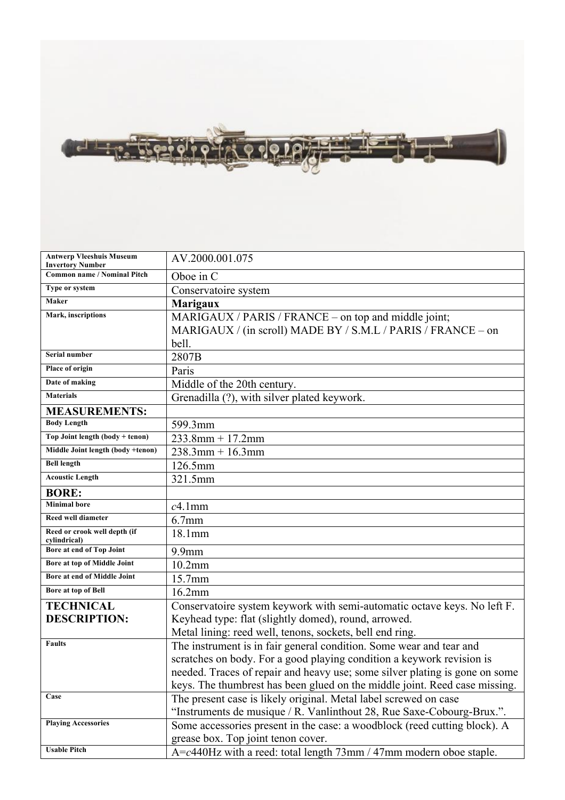

| <b>Antwerp Vleeshuis Museum</b><br><b>Invertory Number</b> | AV.2000.001.075                                                             |
|------------------------------------------------------------|-----------------------------------------------------------------------------|
| <b>Common name / Nominal Pitch</b>                         | Oboe in C                                                                   |
| Type or system                                             | Conservatoire system                                                        |
| Maker                                                      | <b>Marigaux</b>                                                             |
| Mark, inscriptions                                         | MARIGAUX / PARIS / FRANCE - on top and middle joint;                        |
|                                                            | MARIGAUX / (in scroll) MADE BY / S.M.L / PARIS / FRANCE – on                |
|                                                            | bell.                                                                       |
| Serial number                                              | 2807B                                                                       |
| Place of origin                                            | Paris                                                                       |
| Date of making                                             | Middle of the 20th century.                                                 |
| <b>Materials</b>                                           | Grenadilla (?), with silver plated keywork.                                 |
| <b>MEASUREMENTS:</b>                                       |                                                                             |
| <b>Body Length</b>                                         | 599.3mm                                                                     |
| Top Joint length (body + tenon)                            | $233.8$ mm + 17.2mm                                                         |
| Middle Joint length (body +tenon)                          | $238.3$ mm + 16.3mm                                                         |
| <b>Bell length</b>                                         | 126.5mm                                                                     |
| <b>Acoustic Length</b>                                     | 321.5mm                                                                     |
| <b>BORE:</b>                                               |                                                                             |
| <b>Minimal</b> bore                                        | $c4.1$ mm                                                                   |
| Reed well diameter                                         | $6.7$ mm                                                                    |
| Reed or crook well depth (if<br>cylindrical)               | 18.1mm                                                                      |
| Bore at end of Top Joint                                   | $9.9$ mm                                                                    |
| Bore at top of Middle Joint                                | $10.2$ mm                                                                   |
| Bore at end of Middle Joint                                | 15.7mm                                                                      |
| Bore at top of Bell                                        | 16.2mm                                                                      |
| <b>TECHNICAL</b>                                           | Conservatoire system keywork with semi-automatic octave keys. No left F.    |
| <b>DESCRIPTION:</b>                                        | Keyhead type: flat (slightly domed), round, arrowed.                        |
|                                                            | Metal lining: reed well, tenons, sockets, bell end ring.                    |
| Faults                                                     | The instrument is in fair general condition. Some wear and tear and         |
|                                                            | scratches on body. For a good playing condition a keywork revision is       |
|                                                            | needed. Traces of repair and heavy use; some silver plating is gone on some |
|                                                            | keys. The thumbrest has been glued on the middle joint. Reed case missing.  |
| Case                                                       | The present case is likely original. Metal label screwed on case            |
|                                                            | "Instruments de musique / R. Vanlinthout 28, Rue Saxe-Cobourg-Brux.".       |
| <b>Playing Accessories</b>                                 | Some accessories present in the case: a woodblock (reed cutting block). A   |
|                                                            | grease box. Top joint tenon cover.                                          |
| <b>Usable Pitch</b>                                        | A=c440Hz with a reed: total length 73mm / 47mm modern oboe staple.          |